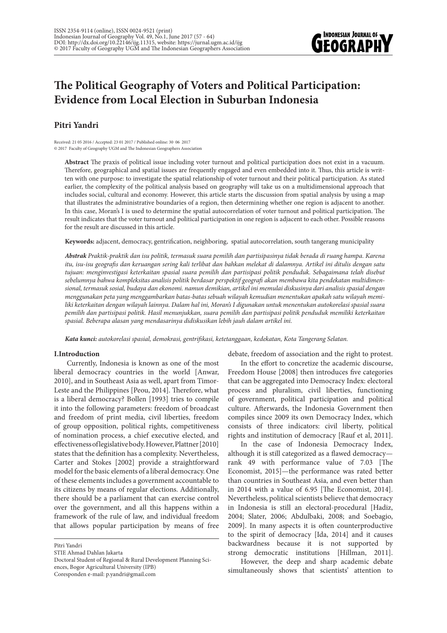

# **The Political Geography of Voters and Political Participation: Evidence from Local Election in Suburban Indonesia**

# **Pitri Yandri**

Received: 21 05 2016 / Accepted: 23 01 2017 / Published online: 30 06 2017 © 2017 Faculty of Geography UGM and The Indonesian Geographers Association

**Abstract** The praxis of political issue including voter turnout and political participation does not exist in a vacuum. Therefore, geographical and spatial issues are frequently engaged and even embedded into it. Thus, this article is written with one purpose: to investigate the spatial relationship of voter turnout and their political participation. As stated earlier, the complexity of the political analysis based on geography will take us on a multidimensional approach that includes social, cultural and economy. However, this article starts the discussion from spatial analysis by using a map that illustrates the administrative boundaries of a region, then determining whether one region is adjacent to another. In this case, Moran's I is used to determine the spatial autocorrelation of voter turnout and political participation. The result indicates that the voter turnout and political participation in one region is adjacent to each other. Possible reasons for the result are discussed in this article.

**Keywords:** adjacent, democracy, gentrification, neighboring, spatial autocorrelation, south tangerang municipality

*Abstrak Praktik-praktik dan isu politik, termasuk suara pemilih dan partisipasinya tidak berada di ruang hampa. Karena itu, isu-isu geografis dan keruangan sering kali terlibat dan bahkan melekat di dalamnya. Artikel ini ditulis dengan satu tujuan: menginvestigasi keterkaitan spasial suara pemilih dan partisipasi politik penduduk. Sebagaimana telah disebut sebelumnya bahwa kompleksitas analisis politik berdasar perspektif geografi akan membawa kita pendekatan multidimensional, termasuk sosial, budaya dan ekonomi. namun demikian, artikel ini memulai diskusinya dari analisis spasial dengan menggunakan peta yang menggambarkan batas-batas sebuah wilayah kemudian menentukan apakah satu wilayah memiliki keterkaitan dengan wilayah lainnya. Dalam hal ini, Moran's I digunakan untuk menentukan autokorelasi spasial suara pemilih dan partisipasi politik. Hasil menunjukkan, suara pemilih dan partisipasi politik penduduk memiliki keterkaitan spasial. Beberapa alasan yang mendasarinya didiskusikan lebih jauh dalam artikel ini.*

*Kata kunci: autokorelasi spasial, demokrasi, gentrifikasi, ketetanggaan, kedekatan, Kota Tangerang Selatan.*

### **I.Introduction**

Currently, Indonesia is known as one of the most liberal democracy countries in the world [Anwar, 2010], and in Southeast Asia as well, apart from Timor-Leste and the Philippines [Peou, 2014]. Therefore, what is a liberal democracy? Bollen [1993] tries to compile it into the following parameters: freedom of broadcast and freedom of print media, civil liberties, freedom of group opposition, political rights, competitiveness of nomination process, a chief executive elected, and effectiveness of legislative body. However, Plattner [2010] states that the definition has a complexity. Nevertheless, Carter and Stokes [2002] provide a straightforward model for the basic elements of a liberal democracy. One of these elements includes a government accountable to its citizens by means of regular elections. Additionally, there should be a parliament that can exercise control over the government, and all this happens within a framework of the rule of law, and individual freedom that allows popular participation by means of free

STIE Ahmad Dahlan Jakarta

Doctoral Student of Regional & Rural Development Planning Sciences, Bogor Agricultural University (IPB)

Coresponden e-mail: p.yandri@gmail.com

debate, freedom of association and the right to protest.

In the effort to concretize the academic discourse, Freedom House [2008] then introduces five categories that can be aggregated into Democracy Index: electoral process and pluralism, civil liberties, functioning of government, political participation and political culture. Afterwards, the Indonesia Government then compiles since 2009 its own Democracy Index, which consists of three indicators: civil liberty, political rights and institution of democracy [Rauf et al, 2011].

In the case of Indonesia Democracy Index, although it is still categorized as a flawed democracy rank 49 with performance value of 7.03 [The Economist, 2015]—the performance was rated better than countries in Southeast Asia, and even better than in 2014 with a value of 6.95 [The Economist, 2014]. Nevertheless, political scientists believe that democracy in Indonesia is still an electoral-procedural [Hadiz, 2004; Slater, 2006; Abdulbaki, 2008; and Soebagio, 2009]. In many aspects it is often counterproductive to the spirit of democracy [Ida, 2014] and it causes backwardness because it is not supported by strong democratic institutions [Hillman, 2011].

However, the deep and sharp academic debate simultaneously shows that scientists' attention to

Pitri Yandri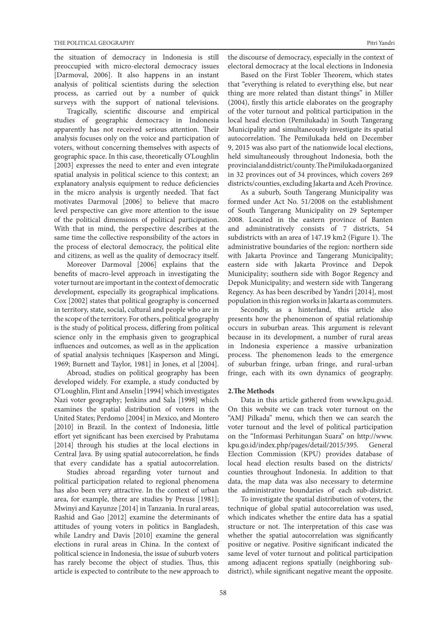the situation of democracy in Indonesia is still preoccupied with micro-electoral democracy issues [Darmoval, 2006]. It also happens in an instant analysis of political scientists during the selection process, as carried out by a number of quick surveys with the support of national televisions.

Tragically, scientific discourse and empirical studies of geographic democracy in Indonesia apparently has not received serious attention. Their analysis focuses only on the voice and participation of voters, without concerning themselves with aspects of geographic space. In this case, theoretically O'Loughlin [2003] expresses the need to enter and even integrate spatial analysis in political science to this context; an explanatory analysis equipment to reduce deficiencies in the micro analysis is urgently needed. That fact motivates Darmoval [2006] to believe that macro level perspective can give more attention to the issue of the political dimensions of political participation. With that in mind, the perspective describes at the same time the collective responsibility of the actors in the process of electoral democracy, the political elite and citizens, as well as the quality of democracy itself.

Moreover Darmoval [2006] explains that the benefits of macro-level approach in investigating the voter turnout are important in the context of democratic development, especially its geographical implications. Cox [2002] states that political geography is concerned in territory, state, social, cultural and people who are in the scope of the territory. For others, political geography is the study of political process, differing from political science only in the emphasis given to geographical influences and outcomes, as well as in the application of spatial analysis techniques [Kasperson and Mingi, 1969; Burnett and Taylor, 1981] in Jones, et al [2004].

Abroad, studies on political geography has been developed widely. For example, a study conducted by O'Loughlin, Flint and Anselin [1994] which investigates Nazi voter geography; Jenkins and Sala [1998] which examines the spatial distribution of voters in the United States; Perdomo [2004] in Mexico, and Montero [2010] in Brazil. In the context of Indonesia, little effort yet significant has been exercised by Prahutama [2014] through his studies at the local elections in Central Java. By using spatial autocorrelation, he finds that every candidate has a spatial autocorrelation.

Studies abroad regarding voter turnout and political participation related to regional phenomena has also been very attractive. In the context of urban area, for example, there are studies by Preuss [1981]; Mwinyi and Kayunze [2014] in Tanzania. In rural areas, Rashid and Gao [2012] examine the determinants of attitudes of young voters in politics in Bangladesh, while Landry and Davis [2010] examine the general elections in rural areas in China. In the context of political science in Indonesia, the issue of suburb voters has rarely become the object of studies. Thus, this article is expected to contribute to the new approach to

the discourse of democracy, especially in the context of electoral democracy at the local elections in Indonesia

Based on the First Tobler Theorem, which states that "everything is related to everything else, but near thing are more related than distant things" in Miller (2004), firstly this article elaborates on the geography of the voter turnout and political participation in the local head election (Pemilukada) in South Tangerang Municipality and simultaneously investigate its spatial autocorrelation. The Pemilukada held on December 9, 2015 was also part of the nationwide local elections, held simultaneously throughout Indonesia, both the provincial and district/county. The Pimilukada organized in 32 provinces out of 34 provinces, which covers 269 districts/counties, excluding Jakarta and Aceh Province.

As a suburb, South Tangerang Municipality was formed under Act No. 51/2008 on the establishment of South Tangerang Municipality on 29 Septemper 2008. Located in the eastern province of Banten and administratively consists of 7 districts, 54 subdistricts with an area of 147.19 km2 (Figure 1). The administrative boundaries of the region: northern side with Jakarta Province and Tangerang Municipality; eastern side with Jakarta Province and Depok Municipality; southern side with Bogor Regency and Depok Municipality; and western side with Tangerang Regency. As has been described by Yandri [2014], most population in this region works in Jakarta as commuters.

Secondly, as a hinterland, this article also presents how the phenomenon of spatial relationship occurs in suburban areas. This argument is relevant because in its development, a number of rural areas in Indonesia experience a massive urbanization process. The phenomenon leads to the emergence of suburban fringe, urban fringe, and rural-urban fringe, each with its own dynamics of geography.

#### **2.The Methods**

Data in this article gathered from www.kpu.go.id. On this website we can track voter turnout on the "AMJ Pilkada" menu, which then we can search the voter turnout and the level of political participation on the "Informasi Perhitungan Suara" on http://www. kpu.go.id/index.php/pages/detail/2015/395. General Election Commission (KPU) provides database of local head election results based on the districts/ counties throughout Indonesia. In addition to that data, the map data was also necessary to determine the administrative boundaries of each sub-district.

To investigate the spatial distribution of voters, the technique of global spatial autocorrelation was used, which indicates whether the entire data has a spatial structure or not. The interpretation of this case was whether the spatial autocorrelation was significantly positive or negative. Positive significant indicated the same level of voter turnout and political participation among adjacent regions spatially (neighboring subdistrict), while significant negative meant the opposite.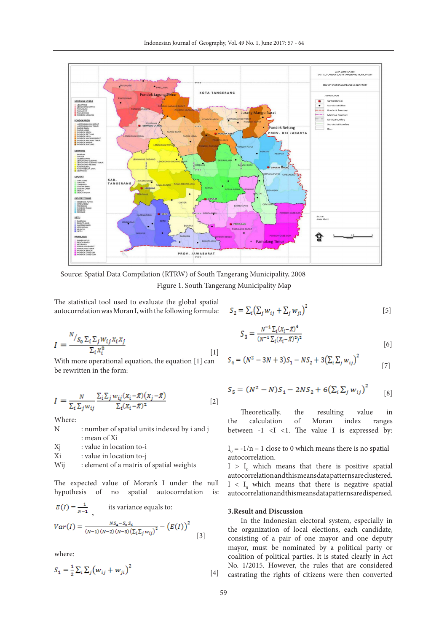

Figure 1. South Tangerang Municipality Map Source: Spatial Data Compilation (RTRW) of South Tangerang Municipality, 2008

The statistical tool used to evaluate the global spatial autocorrelation was Moran I, with the following formula:

$$
I = \frac{N_{S_0 \sum_i \sum_j W_{ij} X_i X_j}}{\sum_i X_i^2}
$$
 [1]

With more operational equation, the equation [1] can be rewritten in the form:

$$
I = \frac{N}{\sum_{i} \sum_{j} w_{ij}} \frac{\sum_{i} \sum_{j} w_{ij} (x_i - \bar{x})(x_j - \bar{x})}{\sum_{i} (x_i - \bar{x})^2}
$$
\n[2]

Where:

| N  | : number of spatial units indexed by i and j |
|----|----------------------------------------------|
|    | : mean of Xi                                 |
| T. | الانتقاض والمتحدث والتماري والمرابيب         |

X<sub>j</sub> : value in location to-i

- Xi : value in location to-j
- Wij : element of a matrix of spatial weights

The expected value of Moran's I under the null hypothesis of no spatial autocorrelation is:

$$
E(I) = \frac{-1}{N-1}
$$
, its variance equals to:  

$$
Var(I) = \frac{Ns_4 - s_8 s_8}{(N-1)(N-2)(N-3)(\sum_l \sum_j w_{ij})^2} - (E(I))^2
$$
 [3]

where:

$$
S_1 = \frac{1}{2} \sum_{i} \sum_{j} (w_{ij} + w_{ji})^2
$$
 [4]

$$
S_2 = \sum_i (\sum_j w_{ij} + \sum_j w_{ji})^2
$$
 [5]

$$
S_3 = \frac{N^{-1} \Sigma_i (X_i - \bar{X})^4}{(N^{-1} \Sigma_i (X_i - \bar{X})^2)^2} \tag{6}
$$

$$
S_4 = (N^2 - 3N + 3)S_1 - NS_2 + 3(\sum_i \sum_j w_{ij})^2
$$
 [7]

$$
S_5 = (N^2 - N)S_1 - 2NS_2 + 6(\sum_i \sum_j w_{ij})^2
$$
 [8]

 Theoretically, the resulting value in the calculation of Moran index ranges between  $-1$   $\langle$ I  $\langle$ 1. The value I is expressed by:

 $I_0 = -1/n - 1$  close to 0 which means there is no spatial autocorrelation.

 $I > I_0$  which means that there is positive spatial autocorrelation and this means data patterns are clustered.  $I < I_0$  which means that there is negative spatial autocorrelation and this means data patterns are dispersed.

#### **3.Result and Discussion**

In the Indonesian electoral system, especially in the organization of local elections, each candidate, consisting of a pair of one mayor and one deputy mayor, must be nominated by a political party or coalition of political parties. It is stated clearly in Act No. 1/2015. However, the rules that are considered castrating the rights of citizens were then converted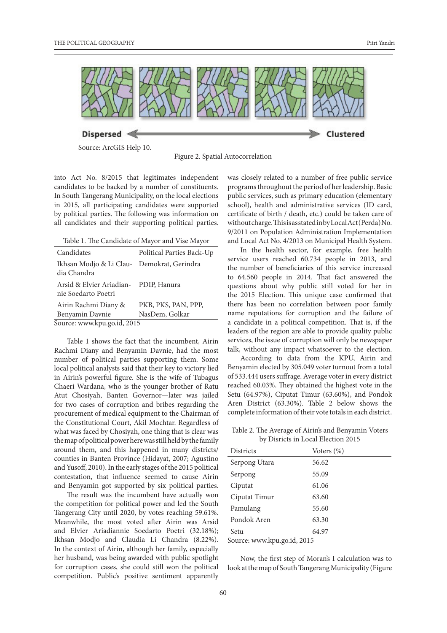

Source: ArcGIS Help 10.

Figure 2. Spatial Autocorrelation

into Act No. 8/2015 that legitimates independent candidates to be backed by a number of constituents. In South Tangerang Municipality, on the local elections in 2015, all participating candidates were supported by political parties. The following was information on all candidates and their supporting political parties.

Table 1. The Candidate of Mayor and Vise Mayor

| Candidates                                                   | Political Parties Back-Up |  |  |  |
|--------------------------------------------------------------|---------------------------|--|--|--|
| Ikhsan Modjo & Li Clau- Demokrat, Gerindra<br>dia Chandra    |                           |  |  |  |
| Arsid & Elvier Ariadian- PDIP, Hanura<br>nie Soedarto Poetri |                           |  |  |  |
| Airin Rachmi Diany &                                         | PKB, PKS, PAN, PPP,       |  |  |  |
| Benyamin Davnie                                              | NasDem, Golkar            |  |  |  |
| Source: www.kpu.go.id, 2015                                  |                           |  |  |  |

Table 1 shows the fact that the incumbent, Airin Rachmi Diany and Benyamin Davnie, had the most number of political parties supporting them. Some local political analysts said that their key to victory lied in Airin's powerful figure. She is the wife of Tubagus Chaeri Wardana, who is the younger brother of Ratu Atut Chosiyah, Banten Governor—later was jailed for two cases of corruption and bribes regarding the procurement of medical equipment to the Chairman of the Constitutional Court, Akil Mochtar. Regardless of what was faced by Chosiyah, one thing that is clear was the map of political power here was still held by the family around them, and this happened in many districts/ counties in Banten Province (Hidayat, 2007; Agustino and Yusoff, 2010). In the early stages of the 2015 political contestation, that influence seemed to cause Airin and Benyamin got supported by six political parties.

The result was the incumbent have actually won the competition for political power and led the South Tangerang City until 2020, by votes reaching 59.61%. Meanwhile, the most voted after Airin was Arsid and Elvier Ariadiannie Soedarto Poetri (32.18%); Ikhsan Modjo and Claudia Li Chandra (8.22%). In the context of Airin, although her family, especially her husband, was being awarded with public spotlight for corruption cases, she could still won the political competition. Public's positive sentiment apparently

was closely related to a number of free public service programs throughout the period of her leadership. Basic public services, such as primary education (elementary school), health and administrative services (ID card, certificate of birth / death, etc.) could be taken care of without charge. This is as stated in by Local Act (Perda) No. 9/2011 on Population Administration Implementation and Local Act No. 4/2013 on Municipal Health System.

In the health sector, for example, free health service users reached 60.734 people in 2013, and the number of beneficiaries of this service increased to 64.560 people in 2014. That fact answered the questions about why public still voted for her in the 2015 Election. This unique case confirmed that there has been no correlation between poor family name reputations for corruption and the failure of a candidate in a political competition. That is, if the leaders of the region are able to provide quality public services, the issue of corruption will only be newspaper talk, without any impact whatsoever to the election.

According to data from the KPU, Airin and Benyamin elected by 305.049 voter turnout from a total of 533.444 users suffrage. Average voter in every district reached 60.03%. They obtained the highest vote in the Setu (64.97%), Ciputat Timur (63.60%), and Pondok Aren District (63.30%). Table 2 below shows the complete information of their vote totals in each district.

Table 2. The Average of Airin's and Benyamin Voters by Disricts in Local Election 2015

| $\sigma$ , $\sigma$ for force in $\sigma$ our $\sigma$ for $\sigma$ for $\sigma$ |               |  |
|----------------------------------------------------------------------------------|---------------|--|
| <b>Districts</b>                                                                 | Voters $(\%)$ |  |
| Serpong Utara                                                                    | 56.62         |  |
| Serpong                                                                          | 55.09         |  |
| Ciputat                                                                          | 61.06         |  |
| Ciputat Timur                                                                    | 63.60         |  |
| Pamulang                                                                         | 55.60         |  |
| Pondok Aren                                                                      | 63.30         |  |
| Setu                                                                             | 64.97         |  |

Source: www.kpu.go.id, 2015

Now, the first step of Moran's I calculation was to look at the map of South Tangerang Municipality (Figure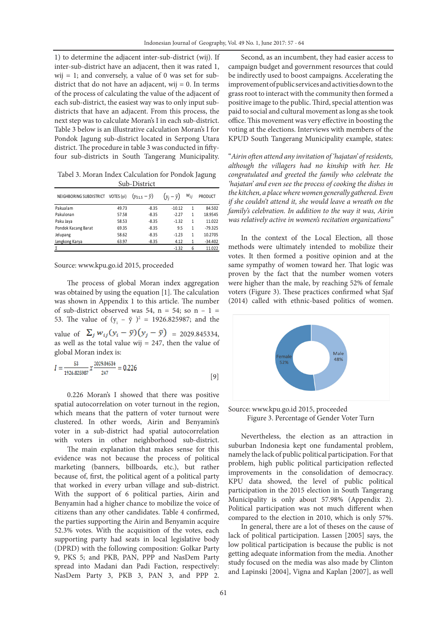1) to determine the adjacent inter-sub-district (wij). If inter-sub-district have an adjacent, then it was rated 1, wij  $= 1$ ; and conversely, a value of 0 was set for subdistrict that do not have an adjacent, wij  $= 0$ . In terms of the process of calculating the value of the adjacent of each sub-district, the easiest way was to only input subdistricts that have an adjacent. From this process, the next step was to calculate Moran's I in each sub-district. Table 3 below is an illustrative calculation Moran's I for Pondok Jagung sub-district located in Serpong Utara district. The procedure in table 3 was conducted in fiftyfour sub-districts in South Tangerang Municipality.

Tabel 3. Moran Index Calculation for Pondok Jagung Sub-District

| NEIGHBORING SUBDISTRICT | VOTES (yi) | $(y_{51.5} - \bar{y})$ | $(y_i - \bar{y})$ | $W_{ij}$ | <b>PRODUCT</b> |
|-------------------------|------------|------------------------|-------------------|----------|----------------|
| Pakualam                | 49.73      | $-8.35$                | $-10.12$          | 1        | 84.502         |
| Pakulonan               | 57.58      | $-8.35$                | $-2.27$           | 1        | 18.9545        |
| Paku Jaya               | 58.53      | $-8.35$                | $-1.32$           | 1        | 11.022         |
| Pondok Kacang Barat     | 69.35      | $-8.35$                | 9.5               | 1        | $-79.325$      |
| Jelupang                | 58.62      | $-8.35$                | $-1.23$           | 1        | 10.2705        |
| Lengkong Karya          | 63.97      | $-8.35$                | 4.12              | 1        | $-34.402$      |
|                         |            |                        | $-1.32$           | 6        | 11.022         |

Source: www.kpu.go.id 2015, proceeded

The process of global Moran index aggregation was obtained by using the equation [1]. The calculation was shown in Appendix 1 to this article. The number of sub-district observed was 54,  $n = 54$ ; so  $n - 1 =$ 53. The value of  $(y_i - \ddot{y})^2 = 1926.825987$ ; and the value of  $\Sigma_j w_{ij} (y_i - \bar{y})(y_j - \bar{y}) = 2029.845334,$ as well as the total value wij =  $247$ , then the value of global Moran index is:

$$
I = \frac{53}{1926.825987} \times \frac{2029.84534}{247} = 0.226
$$
 [9]

0.226 Moran's I showed that there was positive spatial autocorrelation on voter turnout in the region, which means that the pattern of voter turnout were clustered. In other words, Airin and Benyamin's voter in a sub-district had spatial autocorrelation with voters in other neighborhood sub-district.

The main explanation that makes sense for this evidence was not because the process of political marketing (banners, billboards, etc.), but rather because of, first, the political agent of a political party that worked in every urban village and sub-district. With the support of 6 political parties, Airin and Benyamin had a higher chance to mobilize the voice of citizens than any other candidates. Table 4 confirmed, the parties supporting the Airin and Benyamin acquire 52.3% votes. With the acquisition of the votes, each supporting party had seats in local legislative body (DPRD) with the following composition: Golkar Party 9, PKS 5; and PKB, PAN, PPP and NasDem Party spread into Madani dan Padi Faction, respectively: NasDem Party 3, PKB 3, PAN 3, and PPP 2.

Second, as an incumbent, they had easier access to campaign budget and government resources that could be indirectly used to boost campaigns. Accelerating the improvement of public services and activities down to the grass root to interact with the community then formed a positive image to the public. Third, special attention was paid to social and cultural movement as long as she took office. This movement was very effective in boosting the voting at the elections. Interviews with members of the KPUD South Tangerang Municipality example, states:

"*Airin often attend any invitation of 'hajatan' of residents, although the villagers had no kinship with her. He congratulated and greeted the family who celebrate the 'hajatan' and even see the process of cooking the dishes in the kitchen, a place where women generally gathered. Even if she couldn't attend it, she would leave a wreath on the family's celebration. In addition to the way it was, Airin was relatively active in women's recitation organizations"*

In the context of the Local Election, all those methods were ultimately intended to mobilize their votes. It then formed a positive opinion and at the same sympathy of women toward her. That logic was proven by the fact that the number women voters were higher than the male, by reaching 52% of female voters (Figure 3). These practices confirmed what Sjaf (2014) called with ethnic-based politics of women.



Source: www.kpu.go.id 2015, proceeded Figure 3. Percentage of Gender Voter Turn

Nevertheless, the election as an attraction in suburban Indonesia kept one fundamental problem, namely the lack of public political participation. For that problem, high public political participation reflected improvements in the consolidation of democracy. KPU data showed, the level of public political participation in the 2015 election in South Tangerang Municipality is only about 57.98% (Appendix 2). Political participation was not much different when compared to the election in 2010, which is only 57%.

In general, there are a lot of theses on the cause of lack of political participation. Lassen [2005] says, the low political participation is because the public is not getting adequate information from the media. Another study focused on the media was also made by Clinton and Lapinski [2004], Vigna and Kaplan [2007], as well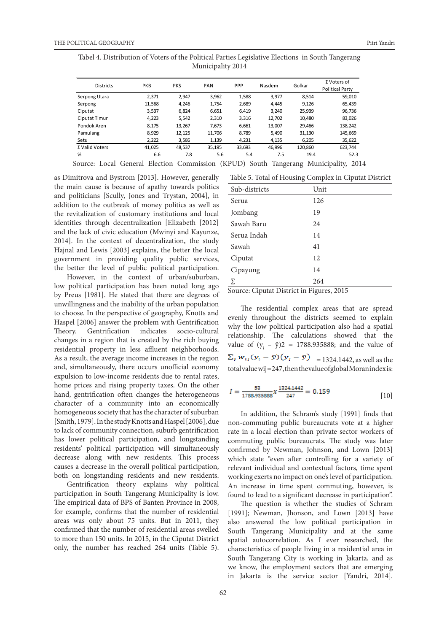| Tabel 4. Distribution of Voters of the Political Parties Legislative Elections  in South Tangerang |  |
|----------------------------------------------------------------------------------------------------|--|
| Municipality 2014                                                                                  |  |

| <b>Districts</b> | PKB    | <b>PKS</b> | PAN    | PPP    | Nasdem | Golkar  | $\Sigma$ Voters of<br><b>Political Party</b> |
|------------------|--------|------------|--------|--------|--------|---------|----------------------------------------------|
| Serpong Utara    | 2.371  | 2,947      | 3,962  | 1,588  | 3,977  | 8.514   | 59,010                                       |
| Serpong          | 11.568 | 4.246      | 1.754  | 2,689  | 4.445  | 9.126   | 65,439                                       |
| Ciputat          | 3,537  | 6.824      | 6.651  | 6.419  | 3.240  | 25,939  | 96,736                                       |
| Ciputat Timur    | 4.223  | 5,542      | 2,310  | 3,316  | 12,702 | 10,480  | 83.026                                       |
| Pondok Aren      | 8.175  | 13.267     | 7.673  | 6,661  | 13,007 | 29,466  | 138.242                                      |
| Pamulang         | 8,929  | 12,125     | 11,706 | 8,789  | 5,490  | 31,130  | 145,669                                      |
| Setu             | 2,222  | 3.586      | 1,139  | 4,231  | 4,135  | 6.205   | 35,622                                       |
| Σ Valid Voters   | 41,025 | 48.537     | 35,195 | 33,693 | 46,996 | 120,860 | 623,744                                      |
| %                | 6.6    | 7.8        | 5.6    | 5.4    | 7.5    | 19.4    | 52.3                                         |

Source: Local General Election Commission (KPUD) South Tangerang Municipality, 2014

as Dimitrova and Bystrom [2013]. However, generally the main cause is because of apathy towards politics and politicians [Scully, Jones and Trystan, 2004], in addition to the outbreak of money politics as well as the revitalization of customary institutions and local identities through decentralization [Elizabeth [2012] and the lack of civic education (Mwinyi and Kayunze, 2014]. In the context of decentralization, the study Hajnal and Lewis [2003] explains, the better the local government in providing quality public services, the better the level of public political participation.

However, in the context of urban/suburban, low political participation has been noted long ago by Preus [1981]. He stated that there are degrees of unwillingness and the inability of the urban population to choose. In the perspective of geography, Knotts and Haspel [2006] answer the problem with Gentrification Theory. Gentrification indicates socio-cultural changes in a region that is created by the rich buying residential property in less affluent neighborhoods. As a result, the average income increases in the region and, simultaneously, there occurs unofficial economy expulsion to low-income residents due to rental rates, home prices and rising property taxes. On the other hand, gentrification often changes the heterogeneous character of a community into an economically homogeneous society that has the character of suburban [Smith, 1979]. In the study Knotts and Haspel [2006], due to lack of community connection, suburb gentrification has lower political participation, and longstanding residents' political participation will simultaneously decrease along with new residents. This process causes a decrease in the overall political participation, both on longstanding residents and new residents.

Gentrification theory explains why political participation in South Tangerang Municipality is low. The empirical data of BPS of Banten Province in 2008, for example, confirms that the number of residential areas was only about 75 units. But in 2011, they confirmed that the number of residential areas swelled to more than 150 units. In 2015, in the Ciputat District only, the number has reached 264 units (Table 5).

| Table 5. Total of Housing Complex in Ciputat District |  |
|-------------------------------------------------------|--|
|-------------------------------------------------------|--|

| Sub-districts | Unit |
|---------------|------|
| Serua         | 126  |
| Jombang       | 19   |
| Sawah Baru    | 24   |
| Serua Indah   | 14   |
| Sawah         | 41   |
| Ciputat       | 12   |
| Cipayung      | 14   |
| Σ             | 264  |

Source: Ciputat District in Figures, 2015

The residential complex areas that are spread evenly throughout the districts seemed to explain why the low political participation also had a spatial relationship. The calculations showed that the value of  $(y_i - \ddot{y})2 = 1788.935888$ ; and the value of  $\sum_j w_{ij} (y_i - \bar{y})(y_j - \bar{y})$  = 1324.1442, as well as the total value wij = 247, then the value of global Moran index is:

$$
I = \frac{53}{1788.935888} \chi \frac{1324.1442}{247} = 0.159
$$
 [10]

In addition, the Schram's study [1991] finds that non-commuting public bureaucrats vote at a higher rate in a local election than private sector workers of commuting public bureaucrats. The study was later confirmed by Newman, Johnson, and Lown [2013] which state "even after controlling for a variety of relevant individual and contextual factors, time spent working exerts no impact on one's level of participation. An increase in time spent commuting, however, is found to lead to a significant decrease in participation".

The question is whether the studies of Schram [1991]; Newman, Jhonson, and Lown [2013] have also answered the low political participation in South Tangerang Municipality and at the same spatial autocorrelation. As I ever researched, the characteristics of people living in a residential area in South Tangerang City is working in Jakarta, and as we know, the employment sectors that are emerging in Jakarta is the service sector [Yandri, 2014].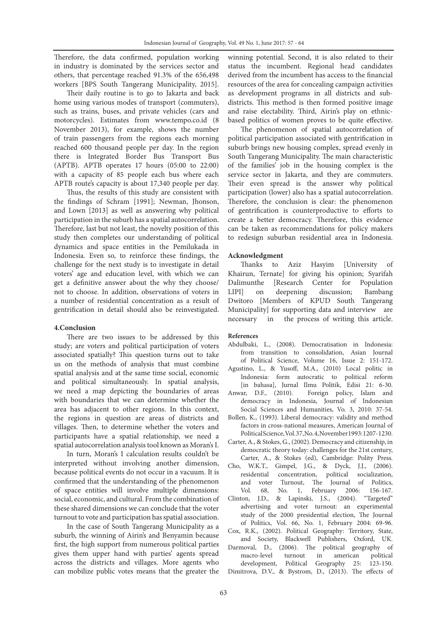Therefore, the data confirmed, population working in industry is dominated by the services sector and others, that percentage reached 91.3% of the 656,498 workers [BPS South Tangerang Municipality, 2015].

Their daily routine is to go to Jakarta and back home using various modes of transport (commuters), such as trains, buses, and private vehicles (cars and motorcycles). Estimates from www.tempo.co.id (8 November 2013), for example, shows the number of train passengers from the regions each morning reached 600 thousand people per day. In the region there is Integrated Border Bus Transport Bus (APTB). APTB operates 17 hours (05:00 to 22:00) with a capacity of 85 people each bus where each APTB route's capacity is about 17,340 people per day.

Thus, the results of this study are consistent with the findings of Schram [1991]; Newman, Jhonson, and Lown [2013] as well as answering why political participation in the suburb has a spatial autocorrelation. Therefore, last but not least, the novelty position of this study then completes our understanding of political dynamics and space entities in the Pemilukada in Indonesia. Even so, to reinforce these findings, the challenge for the next study is to investigate in detail voters' age and education level, with which we can get a definitive answer about the why they choose/ not to choose. In addition, observations of voters in a number of residential concentration as a result of gentrification in detail should also be reinvestigated.

# **4.Conclusion**

There are two issues to be addressed by this study; are voters and political participation of voters associated spatially? This question turns out to take us on the methods of analysis that must combine spatial analysis and at the same time social, economic and political simultaneously. In spatial analysis, we need a map depicting the boundaries of areas with boundaries that we can determine whether the area has adjacent to other regions. In this context, the regions in question are areas of districts and villages. Then, to determine whether the voters and participants have a spatial relationship, we need a spatial autocorrelation analysis tool known as Moran's I.

In turn, Moran's I calculation results couldn't be interpreted without involving another dimension, because political events do not occur in a vacuum. It is confirmed that the understanding of the phenomenon of space entities will involve multiple dimensions: social, economic, and cultural. From the combination of these shared dimensions we can conclude that the voter turnout to vote and participation has spatial association.

In the case of South Tangerang Municipality as a suburb, the winning of Airin's and Benyamin because first, the high support from numerous political parties gives them upper hand with parties' agents spread across the districts and villages. More agents who can mobilize public votes means that the greater the winning potential. Second, it is also related to their status the incumbent. Regional head candidates derived from the incumbent has access to the financial resources of the area for concealing campaign activities as development programs in all districts and subdistricts. This method is then formed positive image and raise electability. Third, Airin's play on ethnicbased politics of women proves to be quite effective.

The phenomenon of spatial autocorrelation of political participation associated with gentrification in suburb brings new housing complex, spread evenly in South Tangerang Municipality. The main characteristic of the families' job in the housing complex is the service sector in Jakarta, and they are commuters. Their even spread is the answer why political participation (lower) also has a spatial autocorrelation. Therefore, the conclusion is clear: the phenomenon of gentrification is counterproductive to efforts to create a better democracy. Therefore, this evidence can be taken as recommendations for policy makers to redesign suburban residential area in Indonesia.

# **Acknowledgment**

Thanks to Aziz Hasyim [University of Khairun, Ternate] for giving his opinion; Syarifah Dalimunthe [Research Center for Population LIPI] on deepening discussion; Bambang Dwitoro [Members of KPUD South Tangerang Municipality] for supporting data and interview are necessary in the process of writing this article.

## **References**

- Abdulbaki, L., (2008). Democratisation in Indonesia: from transition to consolidation, Asian Journal of Political Science, Volume 16, Issue 2: 151-172.
- Agustino, L., & Yusoff, M.A., (2010) Local politic in Indonesia: form autocratic to political reform
- [in bahasa], Jurnal Ilmu Politik, Edisi 21: 6-30. Foreign policy, Islam and democracy in Indonesia, Journal of Indonesian Social Sciences and Humanities, Vo. 3, 2010: 37-54.
- Bollen, K., (1993). Liberal democracy: validity and method factors in cross-national measures, American Journal of Political Science, Vol. 37, No. 4, November 1993: 1207-1230.
- Carter, A., & Stokes, G., (2002). Democracy and citizenship, in democratic theory today: challenges for the 21st century, Carter, A., & Stokes (ed), Cambridge: Polity Press.
- Cho, W.K.T., Gimpel, J.G., & Dyck, J.J., (2006). residential concentration, political socialization, and voter Turnout, The Journal of Politics, Vol. 68, No. 1, February 2006: 156-167.
- Clinton, J.D., & Lapinski, J.S., (2004). "Targeted" advertising and voter turnout: an experimental study of the 2000 presidential election, The Journal of Politics, Vol. 66, No. 1, February 2004: 69-96. Cox, R.K., (2002). Political Geography: Territory, State,
- and Society, Blackwell Publishers, Oxford, UK.
- Darmoval, D., (2006). The political geography of macro-level turnout in american political development, Political Geography 25: 123-150. Dimitrova, D.V., & Bystrom, D., (2013). The effects of